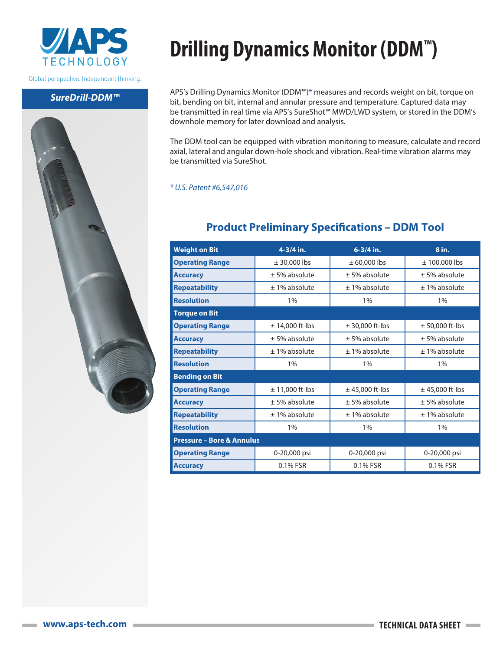

Global perspective. Independent thinking.

#### *SureDrill-DDM™*



## **Drilling Dynamics Monitor (DDM™)**

APS's Drilling Dynamics Monitor (DDM™)\* measures and records weight on bit, torque on bit, bending on bit, internal and annular pressure and temperature. Captured data may be transmitted in real time via APS's SureShot™ MWD/LWD system, or stored in the DDM's downhole memory for later download and analysis.

The DDM tool can be equipped with vibration monitoring to measure, calculate and record axial, lateral and angular down-hole shock and vibration. Real-time vibration alarms may be transmitted via SureShot.

#### *\* U.S. Patent #6,547,016*

### **Weight on Bit 4-3/4 in. 6-3/4 in. 8 in. Operating Range**  $\qquad$   $\qquad$   $\qquad$   $\qquad$   $\qquad$   $\qquad$   $\qquad$   $\qquad$   $\qquad$   $\qquad$   $\qquad$   $\qquad$   $\qquad$   $\qquad$   $\qquad$   $\qquad$   $\qquad$   $\qquad$   $\qquad$   $\qquad$   $\qquad$   $\qquad$   $\qquad$   $\qquad$   $\qquad$   $\qquad$   $\qquad$   $\qquad$   $\qquad$   $\qquad$   $\qquad$   $\qquad$   $\qquad$   $\qquad$  **Accuracy**  $\pm$  5% absolute  $\pm$  5% absolute  $\pm$  5% absolute **Repeatability**  $\pm$  1% absolute  $\pm$  1% absolute  $\pm$  1% absolute **Resolution** 1% 1% 1% **Torque on Bit Operating Range**  $\qquad$   $\qquad$   $\qquad$   $\qquad$   $\qquad$   $\qquad$   $\qquad$   $\qquad$   $\qquad$   $\qquad$   $\qquad$   $\qquad$   $\qquad$   $\qquad$   $\qquad$   $\qquad$   $\qquad$   $\qquad$   $\qquad$   $\qquad$   $\qquad$   $\qquad$   $\qquad$   $\qquad$   $\qquad$   $\qquad$   $\qquad$   $\qquad$   $\qquad$   $\qquad$   $\qquad$   $\qquad$   $\qquad$   $\qquad$  **Accuracy**  $\pm$  5% absolute  $\pm$  5% absolute  $\pm$  5% absolute **Repeatability**  $\pm$  1% absolute  $\pm$  1% absolute  $\pm$  1% absolute **Resolution** 1% 1% 1% **Bending on Bit Operating Range**  $\pm 11,000$  ft-lbs  $\pm 45,000$  ft-lbs  $\pm 45,000$  ft-lbs **Accuracy**  $\pm$  5% absolute  $\pm$  5% absolute  $\pm$  5% absolute **Repeatability**  $\pm$  1% absolute  $\pm$  1% absolute  $\pm$  1% absolute **Resolution** 1% 1% 1% **Pressure – Bore & Annulus Operating Range**  $\begin{array}{|c|c|c|c|c|} \hline \textbf{Operating Range} & \textbf{0-20,000 psi} & \textbf{0-20,000 psi} & \textbf{0-20,000 psi} \hline \end{array}$ **Accuracy** 0.1% FSR 0.1% FSR 0.1% FSR 0.1% FSR

### **Product Preliminary Specifications – DDM Tool**